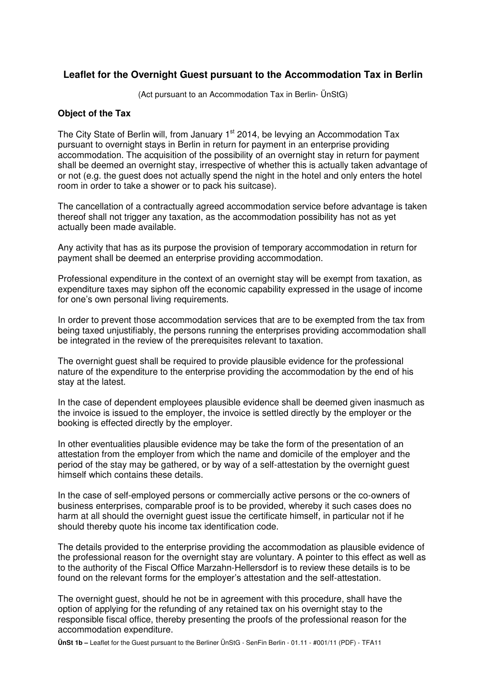# **Leaflet for the Overnight Guest pursuant to the Accommodation Tax in Berlin**

(Act pursuant to an Accommodation Tax in Berlin- ÜnStG)

#### **Object of the Tax**

The City State of Berlin will, from January 1<sup>st</sup> 2014, be levying an Accommodation Tax pursuant to overnight stays in Berlin in return for payment in an enterprise providing accommodation. The acquisition of the possibility of an overnight stay in return for payment shall be deemed an overnight stay, irrespective of whether this is actually taken advantage of or not (e.g. the guest does not actually spend the night in the hotel and only enters the hotel room in order to take a shower or to pack his suitcase).

The cancellation of a contractually agreed accommodation service before advantage is taken thereof shall not trigger any taxation, as the accommodation possibility has not as yet actually been made available.

Any activity that has as its purpose the provision of temporary accommodation in return for payment shall be deemed an enterprise providing accommodation.

Professional expenditure in the context of an overnight stay will be exempt from taxation, as expenditure taxes may siphon off the economic capability expressed in the usage of income for one's own personal living requirements.

In order to prevent those accommodation services that are to be exempted from the tax from being taxed unjustifiably, the persons running the enterprises providing accommodation shall be integrated in the review of the prerequisites relevant to taxation.

The overnight guest shall be required to provide plausible evidence for the professional nature of the expenditure to the enterprise providing the accommodation by the end of his stay at the latest.

In the case of dependent employees plausible evidence shall be deemed given inasmuch as the invoice is issued to the employer, the invoice is settled directly by the employer or the booking is effected directly by the employer.

In other eventualities plausible evidence may be take the form of the presentation of an attestation from the employer from which the name and domicile of the employer and the period of the stay may be gathered, or by way of a self-attestation by the overnight guest himself which contains these details.

In the case of self-employed persons or commercially active persons or the co-owners of business enterprises, comparable proof is to be provided, whereby it such cases does no harm at all should the overnight guest issue the certificate himself, in particular not if he should thereby quote his income tax identification code.

The details provided to the enterprise providing the accommodation as plausible evidence of the professional reason for the overnight stay are voluntary. A pointer to this effect as well as to the authority of the Fiscal Office Marzahn-Hellersdorf is to review these details is to be found on the relevant forms for the employer's attestation and the self-attestation.

The overnight guest, should he not be in agreement with this procedure, shall have the option of applying for the refunding of any retained tax on his overnight stay to the responsible fiscal office, thereby presenting the proofs of the professional reason for the accommodation expenditure.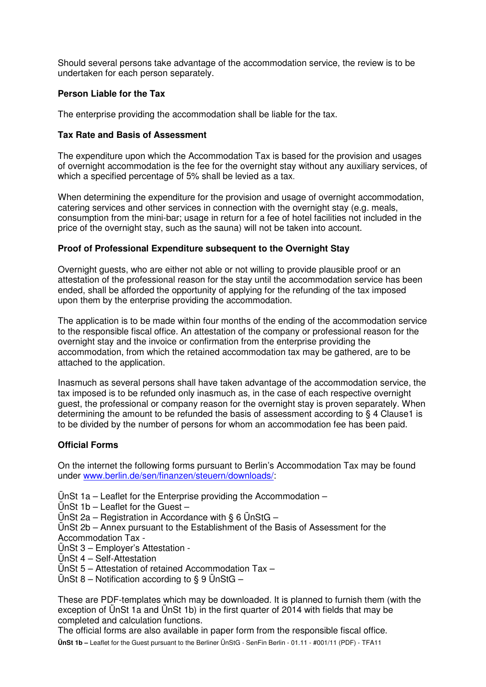Should several persons take advantage of the accommodation service, the review is to be undertaken for each person separately.

## **Person Liable for the Tax**

The enterprise providing the accommodation shall be liable for the tax.

#### **Tax Rate and Basis of Assessment**

The expenditure upon which the Accommodation Tax is based for the provision and usages of overnight accommodation is the fee for the overnight stay without any auxiliary services, of which a specified percentage of 5% shall be levied as a tax.

When determining the expenditure for the provision and usage of overnight accommodation, catering services and other services in connection with the overnight stay (e.g. meals, consumption from the mini-bar; usage in return for a fee of hotel facilities not included in the price of the overnight stay, such as the sauna) will not be taken into account.

#### **Proof of Professional Expenditure subsequent to the Overnight Stay**

Overnight guests, who are either not able or not willing to provide plausible proof or an attestation of the professional reason for the stay until the accommodation service has been ended, shall be afforded the opportunity of applying for the refunding of the tax imposed upon them by the enterprise providing the accommodation.

The application is to be made within four months of the ending of the accommodation service to the responsible fiscal office. An attestation of the company or professional reason for the overnight stay and the invoice or confirmation from the enterprise providing the accommodation, from which the retained accommodation tax may be gathered, are to be attached to the application.

Inasmuch as several persons shall have taken advantage of the accommodation service, the tax imposed is to be refunded only inasmuch as, in the case of each respective overnight guest, the professional or company reason for the overnight stay is proven separately. When determining the amount to be refunded the basis of assessment according to  $\S$  4 Clause1 is to be divided by the number of persons for whom an accommodation fee has been paid.

#### **Official Forms**

On the internet the following forms pursuant to Berlin's Accommodation Tax may be found under www.berlin.de/sen/finanzen/steuern/downloads/:

ÜnSt 1a – Leaflet for the Enterprise providing the Accommodation –

- UnSt  $1b$  Leaflet for the Guest –
- ÜnSt 2a Registration in Accordance with § 6 ÜnStG –
- ÜnSt 2b Annex pursuant to the Establishment of the Basis of Assessment for the Accommodation Tax -
- ÜnSt 3 Employer's Attestation -
- ÜnSt 4 Self-Attestation
- ÜnSt 5 Attestation of retained Accommodation Tax –
- UnSt 8 Notification according to § 9 UnStG –

These are PDF-templates which may be downloaded. It is planned to furnish them (with the exception of ÜnSt 1a and ÜnSt 1b) in the first quarter of 2014 with fields that may be completed and calculation functions.

The official forms are also available in paper form from the responsible fiscal office.

**ÜnSt 1b –** Leaflet for the Guest pursuant to the Berliner ÜnStG - SenFin Berlin - 01.11 - #001/11 (PDF) - TFA11